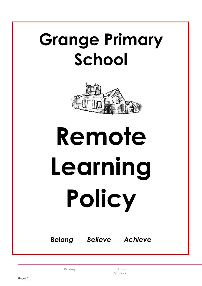# **Grange Primary School**



# **Remote Learning Policy**

*Belong Believe Achieve*

Belong

Believe Achieve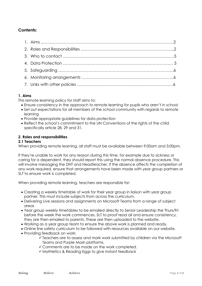# **Contents:**

# **1. Aims**

This remote learning policy for staff aims to:

- Ensure consistency in the approach to remote learning for pupils who aren't in school
- Set out expectations for all members of the school community with regards to remote learning
- Provide appropriate guidelines for data protection
- Reflect the school's commitment to the UN Conventions of the rights of the child specifically article 28, 29 and 31.

# **2. Roles and responsibilities**

#### **2.1 Teachers**

When providing remote learning, all staff must be available between 9:00am and 3:00pm.

If they're unable to work for any reason during this time, for example due to sickness or caring for a dependent, they should report this using the normal absence procedure. This will involve messaging the DHT and Headteacher. If the absence affects the completion of any work required, ensure that arrangements have been made with year group partners or SLT to ensure work is completed.

When providing remote learning, teachers are responsible for:

- Creating a weekly timetable of work for their year group in liaison with year group partner. This must include subjects from across the curriculum.
- Delivering Live sessions and assignments on Microsoft Teams from a range of subject areas
- Year group weekly timetables to be emailed directly to Senior Leadership the Thurs/Fri before the week the work commences. SLT to proof read all and ensure consistency, they are then emailed to parents. These are then uploaded to the website.
- Working as a year group team to ensure the above work is planned and ready.
- Online line safety curriculum to be followed with resources available on our website.
- Providing feedback on work:
	- Teachers are to assess and mark work submitted by children via the Microsoft Teams and Purple Mash platforms.
	- Comments are to be made on the work completed.
	- $\checkmark$  Mathletics & Reading Eggs to give instant feedback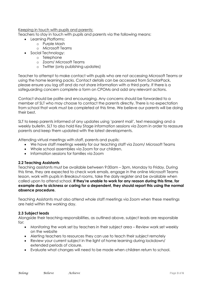Keeping in touch with pupils and parents: Teachers to stay in touch with pupils and parents via the following means:

- Learning Platforms:
	- o Purple Mash
	- o Microsoft Teams
- Social Technology:
	- o Telephone
		- o Zoom/ Microsoft Teams
		- o Twitter (only publishing updates)

Teacher to attempt to make contact with pupils who are not accessing Microsoft Teams or using the home learning packs. Contact details can be accessed from ScholarPack, please ensure you log off and do not share information with a third party. If there is a safeguarding concern complete a form on CPOMs and add any relevant actions.

Contact should be polite and encouraging. Any concerns should be forwarded to a member of SLT who may choose to contact the parents directly. There is no expectation from school that work must be completed at this time. We believe our parents will be doing their best.

SLT to keep parents informed of any updates using 'parent mail', text messaging and a weekly bulletin. SLT to also hold Key Stage information sessions via Zoom in order to reassure parents and keep them updated with the latest developments.

Attending virtual meetings with staff, parents and pupils:

- We have staff meetings weekly for our teaching staff via Zoom/ Microsoft Teams
- Whole school assemblies via Zoom for our children.
- Information sessions for families via Zoom

# **2.2 Teaching Assistants**

Teaching assistants must be available between 9:00am – 3pm, Monday to Friday. During this time, they are expected to check work emails, engage in the online Microsoft Teams lesson, work with pupils in Breakout rooms, take the daily register and be available when called upon to attend school. **If they're unable to work for any reason during this time, for example due to sickness or caring for a dependent, they should report this using the normal absence procedure.**

Teaching Assistants must also attend whole staff meetings via Zoom when these meetings are held within the working day.

# **2.3 Subject leads**

Alongside their teaching responsibilities, as outlined above, subject leads are responsible for:

- Monitoring the work set by teachers in their subject area Review work set weekly on the website
- Alerting teachers to resources they can use to teach their subject remotely
- Review your current subject in the light of home learning during lockdown/ extended periods of closure.
- Evaluate what changes will need to be made when children return to school.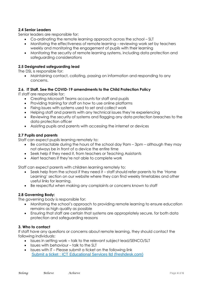# **2.4 Senior Leaders**

Senior leaders are responsible for:

- Co-ordinating the remote learning approach across the school SLT
- Monitoring the effectiveness of remote learning reviewing work set by teachers weekly and monitoring the engagement of pupils with their learning
- Monitoring the security of remote learning systems, including data protection and safeguarding considerations

# **2.5 Designated safeguarding lead**

The DSL is responsible for:

 Maintaining contact, collating, passing on information and responding to any concerns.

#### **2.6. IT Staff. See the COVID-19 amendments to the Child Protection Policy**

IT staff are responsible for:

- Creating Microsoft Teams accounts for staff and pupils
- Providing training for staff on how to use online platforms
- Fixing issues with systems used to set and collect work
- Helping staff and parents with any technical issues they're experiencing
- Reviewing the security of systems and flagging any data protection breaches to the data protection officer
- Assisting pupils and parents with accessing the internet or devices

#### **2.7 Pupils and parents**

Staff can expect pupils learning remotely to:

- Be contactable during the hours of the school day 9am 3pm although they may not always be in front of a device the entire time
- Seek help if they need it, from teachers or Teaching Assistants
- Alert teachers if they're not able to complete work

Staff can expect parents with children learning remotely to:

- Seek help from the school if they need it staff should refer parents to the 'Home Learning' section on our website where they can find weekly timetables and other useful links for learning.
- Be respectful when making any complaints or concerns known to staff

# **2.8 Governing Body:**

The governing body is responsible for:

- Monitoring the school's approach to providing remote learning to ensure education remains as high quality as possible
- Ensuring that staff are certain that systems are appropriately secure, for both data protection and safeguarding reasons

#### **3. Who to contact**

If staff have any questions or concerns about remote learning, they should contact the following individuals:

- Issues in setting work talk to the relevant subject lead/SENCO/SLT
- $\bullet$  Issues with behaviour talk to the SLT
- $\bullet$  Issues with IT Please submit a ticket on the following link [Submit a ticket : ICT Educational Services ltd \(freshdesk.com\)](https://icteducationalservices.freshdesk.com/support/tickets/new)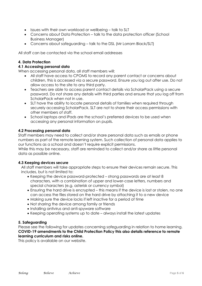- Issues with their own workload or wellbeing talk to SLT
- Concerns about Data Protection talk to the data protection officer (School Business Manager)
- Concerns about safeguarding talk to the DSL (Mr Lorram Black/SLT)

All staff can be contacted via the school email addresses

#### **4. Data Protection**

#### **4.1 Accessing personal data**

When accessing personal data, all staff members will:

- All staff have access to CPOMS to record any parent contact or concerns about children, this is accessed via a secure password. Ensure you log out after use. Do not allow access to the site to any third party.
- Teachers are able to access parent contact details via ScholarPack using a secure password. Do not share any details with third parties and ensure that you log off from ScholarPack when not in use.
- SLT have the ability to locate personal details of families when required through securely accessing ScholarPack. SLT are not to share their access permissions with other members of staff.
- School laptops and iPads are the school's preferred devices to be used when accessing any personal information on pupils.

#### **4.2 Processing personal data**

Staff members may need to collect and/or share personal data such as emails or phone numbers as part of the remote learning system. Such collection of personal data applies to our functions as a school and doesn't require explicit permissions.

While this may be necessary, staff are reminded to collect and/or share as little personal data as possible online.

#### **4.3 Keeping devices secure**

All staff members will take appropriate steps to ensure their devices remain secure. This includes, but is not limited to:

- Keeping the device password-protected strong passwords are at least 8 characters, with a combination of upper and lower-case letters, numbers and special characters (e.g. asterisk or currency symbol)
- Ensuring the hard drive is encrypted this means if the device is lost or stolen, no one can access the files stored on the hard drive by attaching it to a new device
- Making sure the device locks if left inactive for a period of time
- Not sharing the device among family or friends
- Installing antivirus and anti-spyware software
- Keeping operating systems up to date always install the latest updates

# **5. Safeguarding**

Please see the following for updates concerning safeguarding in relation to home learning. **COVID-19 amendments to the Child Protection Policy this also details reference to remote learning curriculum and risks online.** 

This policy is available on our website.